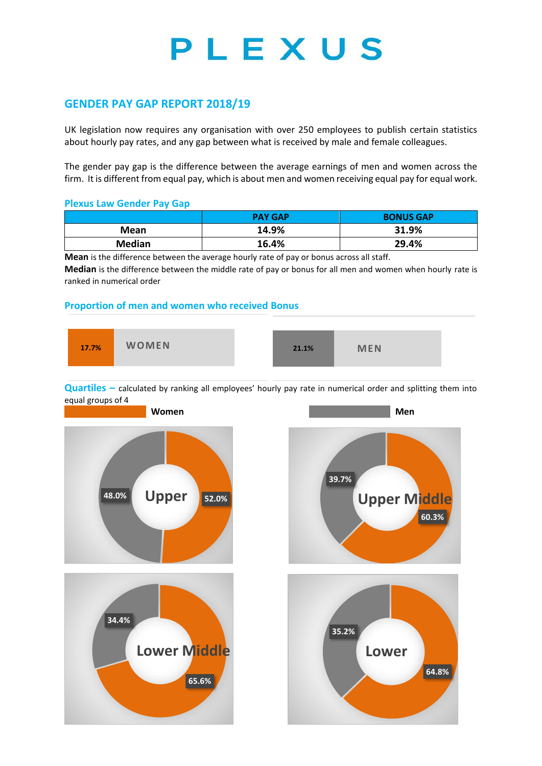# PLEXUS

# **GENDER PAY GAP REPORT 2018/19**

UK legislation now requires any organisation with over 250 employees to publish certain statistics about hourly pay rates, and any gap between what is received by male and female colleagues.

The gender pay gap is the difference between the average earnings of men and women across the firm. It is different from equal pay, which is about men and women receiving equal pay for equal work.

#### **Plexus Law Gender Pay Gap**

|               | <b>PAY GAP</b> | <b>BONUS GAP</b> |
|---------------|----------------|------------------|
| Mean          | 14.9%          | 31.9%            |
| <b>Median</b> | 16.4%          | 29.4%            |

**Mean** is the difference between the average hourly rate of pay or bonus across all staff.

**Median** is the difference between the middle rate of pay or bonus for all men and women when hourly rate is ranked in numerical order

### **Proportion of men and women who received Bonus**



**Quartiles** – calculated by ranking all employees' hourly pay rate in numerical order and splitting them into equal groups of 4